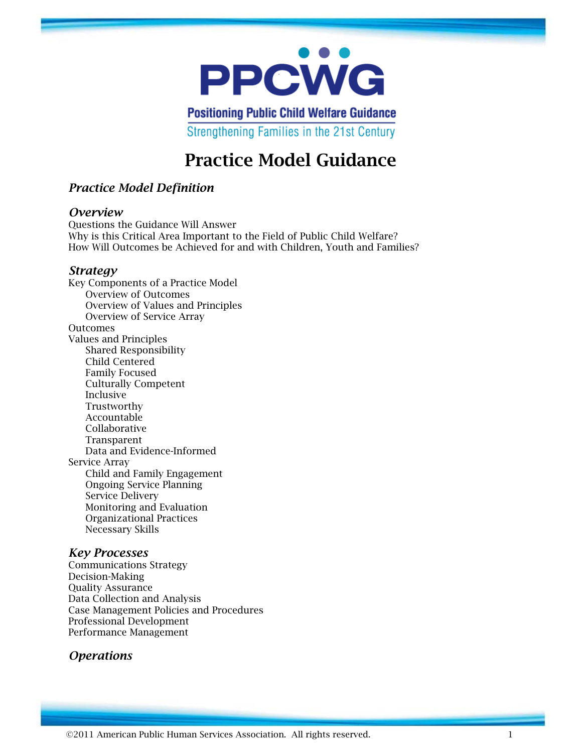

**Positioning Public Child Welfare Guidance** Strengthening Families in the 21st Century

# **Practice Model Guidance**

## *Practice Model Definition*

#### *Overview*

Questions the Guidance Will Answer Why is this Critical Area Important to the Field of Public Child Welfare? How Will Outcomes be Achieved for and with Children, Youth and Families?

#### *Strategy*

Key Components of a Practice Model Overview of Outcomes Overview of Values and Principles Overview of Service Array **Outcomes** Values and Principles Shared Responsibility Child Centered Family Focused Culturally Competent Inclusive Trustworthy Accountable Collaborative Transparent Data and Evidence-Informed Service Array Child and Family Engagement Ongoing Service Planning Service Delivery Monitoring and Evaluation Organizational Practices Necessary Skills

## *Key Processes*

Communications Strategy Decision-Making Quality Assurance Data Collection and Analysis Case Management Policies and Procedures Professional Development Performance Management

## *Operations*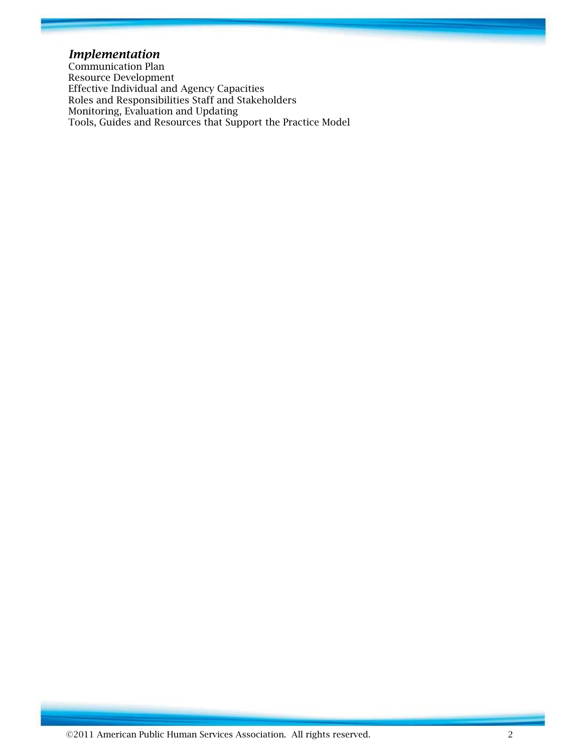## *Implementation*

Communication Plan Resource Development Effective Individual and Agency Capacities Roles and Responsibilities Staff and Stakeholders Monitoring, Evaluation and Updating Tools, Guides and Resources that Support the Practice Model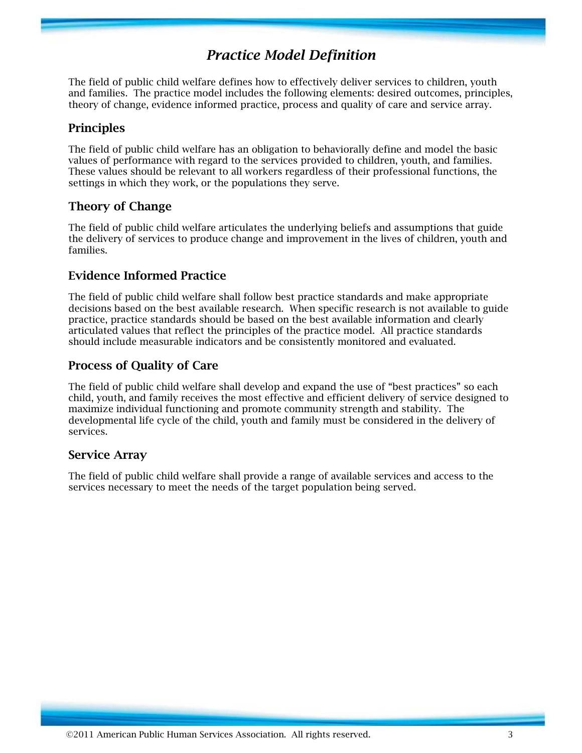## *Practice Model Definition*

The field of public child welfare defines how to effectively deliver services to children, youth and families. The practice model includes the following elements: desired outcomes, principles, theory of change, evidence informed practice, process and quality of care and service array.

## **Principles**

The field of public child welfare has an obligation to behaviorally define and model the basic values of performance with regard to the services provided to children, youth, and families. These values should be relevant to all workers regardless of their professional functions, the settings in which they work, or the populations they serve.

## **Theory of Change**

The field of public child welfare articulates the underlying beliefs and assumptions that guide the delivery of services to produce change and improvement in the lives of children, youth and families.

## **Evidence Informed Practice**

The field of public child welfare shall follow best practice standards and make appropriate decisions based on the best available research. When specific research is not available to guide practice, practice standards should be based on the best available information and clearly articulated values that reflect the principles of the practice model. All practice standards should include measurable indicators and be consistently monitored and evaluated.

## **Process of Quality of Care**

The field of public child welfare shall develop and expand the use of "best practices" so each child, youth, and family receives the most effective and efficient delivery of service designed to maximize individual functioning and promote community strength and stability. The developmental life cycle of the child, youth and family must be considered in the delivery of services.

## **Service Array**

The field of public child welfare shall provide a range of available services and access to the services necessary to meet the needs of the target population being served.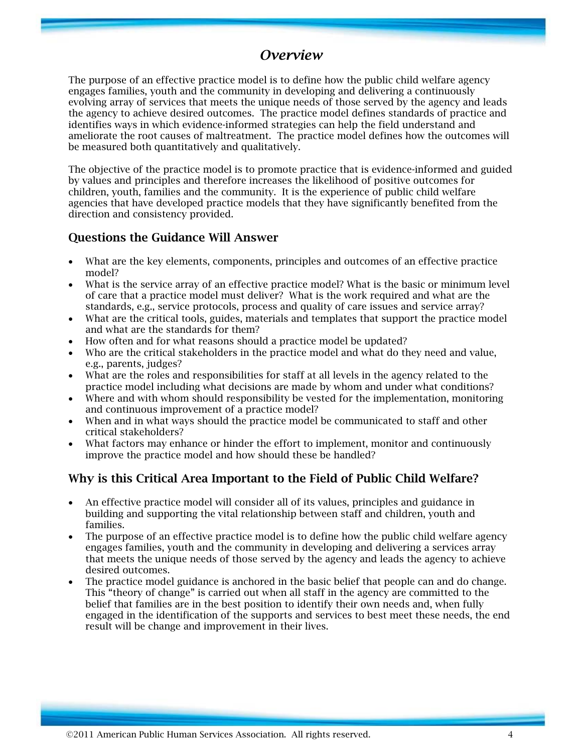## *Overview*

The purpose of an effective practice model is to define how the public child welfare agency engages families, youth and the community in developing and delivering a continuously evolving array of services that meets the unique needs of those served by the agency and leads the agency to achieve desired outcomes. The practice model defines standards of practice and identifies ways in which evidence-informed strategies can help the field understand and ameliorate the root causes of maltreatment. The practice model defines how the outcomes will be measured both quantitatively and qualitatively.

The objective of the practice model is to promote practice that is evidence-informed and guided by values and principles and therefore increases the likelihood of positive outcomes for children, youth, families and the community. It is the experience of public child welfare agencies that have developed practice models that they have significantly benefited from the direction and consistency provided.

## **Questions the Guidance Will Answer**

- What are the key elements, components, principles and outcomes of an effective practice model?
- What is the service array of an effective practice model? What is the basic or minimum level of care that a practice model must deliver? What is the work required and what are the standards, e.g., service protocols, process and quality of care issues and service array?
- What are the critical tools, guides, materials and templates that support the practice model and what are the standards for them?
- How often and for what reasons should a practice model be updated?
- Who are the critical stakeholders in the practice model and what do they need and value, e.g., parents, judges?
- What are the roles and responsibilities for staff at all levels in the agency related to the practice model including what decisions are made by whom and under what conditions?
- Where and with whom should responsibility be vested for the implementation, monitoring and continuous improvement of a practice model?
- When and in what ways should the practice model be communicated to staff and other critical stakeholders?
- What factors may enhance or hinder the effort to implement, monitor and continuously improve the practice model and how should these be handled?

## **Why is this Critical Area Important to the Field of Public Child Welfare?**

- An effective practice model will consider all of its values, principles and guidance in building and supporting the vital relationship between staff and children, youth and families.
- The purpose of an effective practice model is to define how the public child welfare agency engages families, youth and the community in developing and delivering a services array that meets the unique needs of those served by the agency and leads the agency to achieve desired outcomes.
- The practice model guidance is anchored in the basic belief that people can and do change. This "theory of change" is carried out when all staff in the agency are committed to the belief that families are in the best position to identify their own needs and, when fully engaged in the identification of the supports and services to best meet these needs, the end result will be change and improvement in their lives.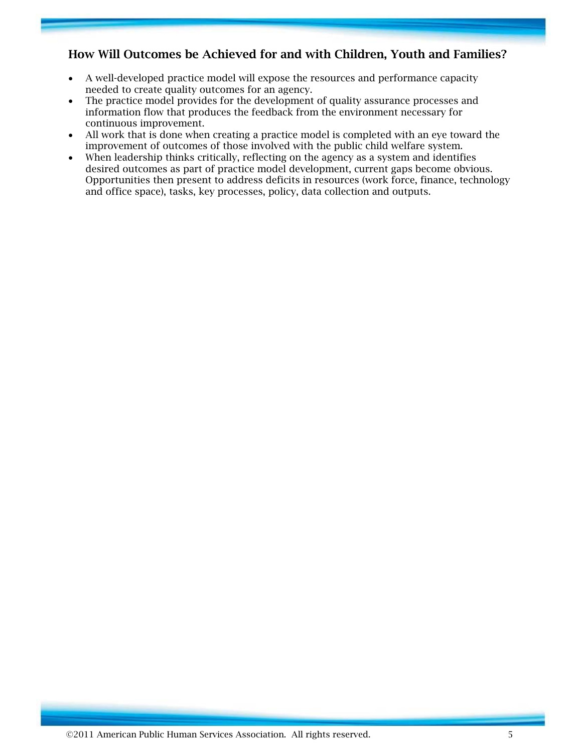## **How Will Outcomes be Achieved for and with Children, Youth and Families?**

- A well-developed practice model will expose the resources and performance capacity needed to create quality outcomes for an agency.
- The practice model provides for the development of quality assurance processes and information flow that produces the feedback from the environment necessary for continuous improvement.
- All work that is done when creating a practice model is completed with an eye toward the improvement of outcomes of those involved with the public child welfare system.
- When leadership thinks critically, reflecting on the agency as a system and identifies desired outcomes as part of practice model development, current gaps become obvious. Opportunities then present to address deficits in resources (work force, finance, technology and office space), tasks, key processes, policy, data collection and outputs.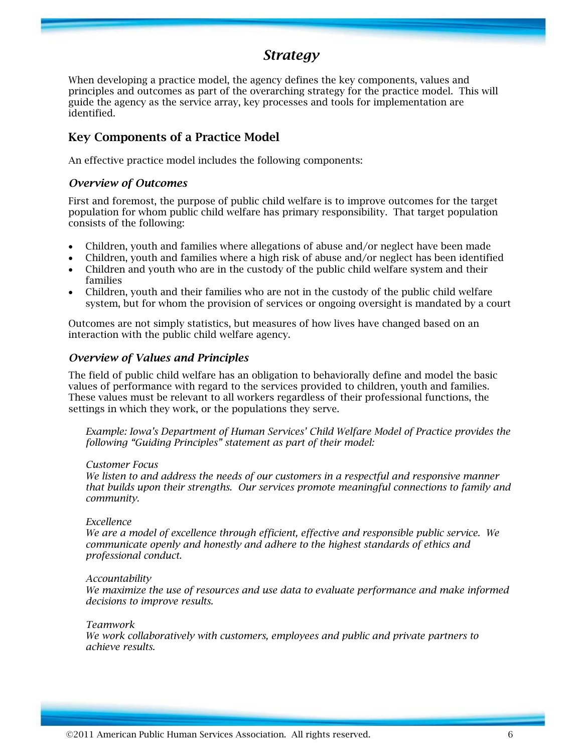## *Strategy*

When developing a practice model, the agency defines the key components, values and principles and outcomes as part of the overarching strategy for the practice model. This will guide the agency as the service array, key processes and tools for implementation are identified.

## **Key Components of a Practice Model**

An effective practice model includes the following components:

#### *Overview of Outcomes*

First and foremost, the purpose of public child welfare is to improve outcomes for the target population for whom public child welfare has primary responsibility. That target population consists of the following:

- Children, youth and families where allegations of abuse and/or neglect have been made
- Children, youth and families where a high risk of abuse and/or neglect has been identified
- Children and youth who are in the custody of the public child welfare system and their families
- Children, youth and their families who are not in the custody of the public child welfare system, but for whom the provision of services or ongoing oversight is mandated by a court

Outcomes are not simply statistics, but measures of how lives have changed based on an interaction with the public child welfare agency.

#### *Overview of Values and Principles*

The field of public child welfare has an obligation to behaviorally define and model the basic values of performance with regard to the services provided to children, youth and families. These values must be relevant to all workers regardless of their professional functions, the settings in which they work, or the populations they serve.

*Example: Iowa's Department of Human Services' Child Welfare Model of Practice provides the following "Guiding Principles" statement as part of their model:* 

#### *Customer Focus*

*We listen to and address the needs of our customers in a respectful and responsive manner that builds upon their strengths. Our services promote meaningful connections to family and community.* 

#### *Excellence*

*We are a model of excellence through efficient, effective and responsible public service. We communicate openly and honestly and adhere to the highest standards of ethics and professional conduct.* 

#### *Accountability*

*We maximize the use of resources and use data to evaluate performance and make informed decisions to improve results.* 

*Teamwork* 

*We work collaboratively with customers, employees and public and private partners to achieve results.*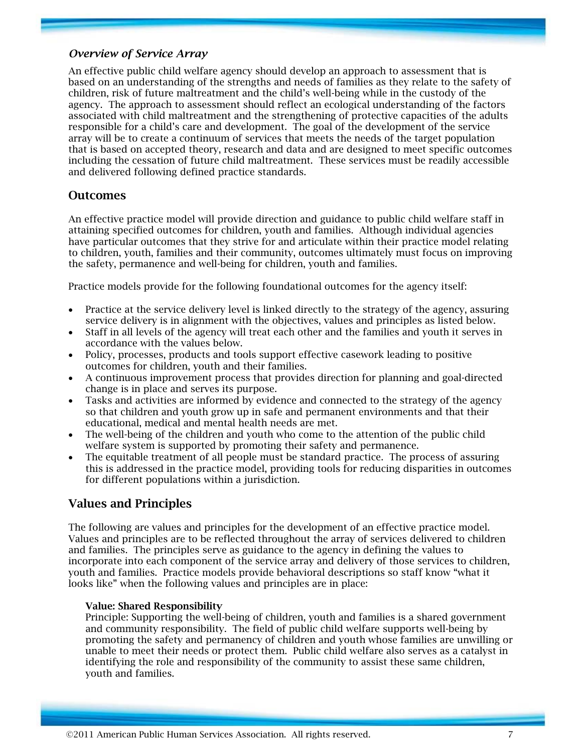### *Overview of Service Array*

An effective public child welfare agency should develop an approach to assessment that is based on an understanding of the strengths and needs of families as they relate to the safety of children, risk of future maltreatment and the child's well-being while in the custody of the agency. The approach to assessment should reflect an ecological understanding of the factors associated with child maltreatment and the strengthening of protective capacities of the adults responsible for a child's care and development. The goal of the development of the service array will be to create a continuum of services that meets the needs of the target population that is based on accepted theory, research and data and are designed to meet specific outcomes including the cessation of future child maltreatment. These services must be readily accessible and delivered following defined practice standards.

### **Outcomes**

An effective practice model will provide direction and guidance to public child welfare staff in attaining specified outcomes for children, youth and families. Although individual agencies have particular outcomes that they strive for and articulate within their practice model relating to children, youth, families and their community, outcomes ultimately must focus on improving the safety, permanence and well-being for children, youth and families.

Practice models provide for the following foundational outcomes for the agency itself:

- Practice at the service delivery level is linked directly to the strategy of the agency, assuring service delivery is in alignment with the objectives, values and principles as listed below.
- Staff in all levels of the agency will treat each other and the families and youth it serves in accordance with the values below.
- Policy, processes, products and tools support effective casework leading to positive outcomes for children, youth and their families.
- A continuous improvement process that provides direction for planning and goal-directed change is in place and serves its purpose.
- Tasks and activities are informed by evidence and connected to the strategy of the agency so that children and youth grow up in safe and permanent environments and that their educational, medical and mental health needs are met.
- The well-being of the children and youth who come to the attention of the public child welfare system is supported by promoting their safety and permanence.
- The equitable treatment of all people must be standard practice. The process of assuring this is addressed in the practice model, providing tools for reducing disparities in outcomes for different populations within a jurisdiction.

### **Values and Principles**

The following are values and principles for the development of an effective practice model. Values and principles are to be reflected throughout the array of services delivered to children and families. The principles serve as guidance to the agency in defining the values to incorporate into each component of the service array and delivery of those services to children, youth and families. Practice models provide behavioral descriptions so staff know "what it looks like" when the following values and principles are in place:

#### **Value: Shared Responsibility**

Principle: Supporting the well-being of children, youth and families is a shared government and community responsibility. The field of public child welfare supports well-being by promoting the safety and permanency of children and youth whose families are unwilling or unable to meet their needs or protect them. Public child welfare also serves as a catalyst in identifying the role and responsibility of the community to assist these same children, youth and families.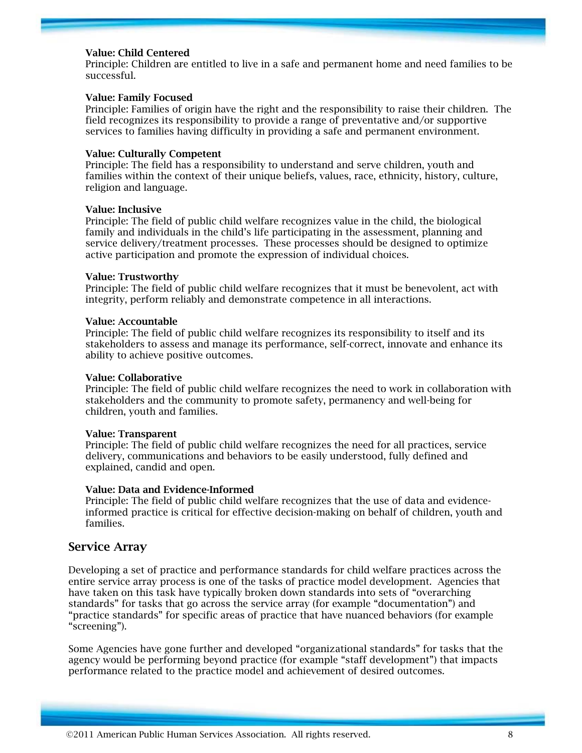#### **Value: Child Centered**

Principle: Children are entitled to live in a safe and permanent home and need families to be successful.

#### **Value: Family Focused**

Principle: Families of origin have the right and the responsibility to raise their children. The field recognizes its responsibility to provide a range of preventative and/or supportive services to families having difficulty in providing a safe and permanent environment.

#### **Value: Culturally Competent**

Principle: The field has a responsibility to understand and serve children, youth and families within the context of their unique beliefs, values, race, ethnicity, history, culture, religion and language.

#### **Value: Inclusive**

Principle: The field of public child welfare recognizes value in the child, the biological family and individuals in the child's life participating in the assessment, planning and service delivery/treatment processes. These processes should be designed to optimize active participation and promote the expression of individual choices.

#### **Value: Trustworthy**

Principle: The field of public child welfare recognizes that it must be benevolent, act with integrity, perform reliably and demonstrate competence in all interactions.

#### **Value: Accountable**

Principle: The field of public child welfare recognizes its responsibility to itself and its stakeholders to assess and manage its performance, self-correct, innovate and enhance its ability to achieve positive outcomes.

#### **Value: Collaborative**

Principle: The field of public child welfare recognizes the need to work in collaboration with stakeholders and the community to promote safety, permanency and well-being for children, youth and families.

#### **Value: Transparent**

Principle: The field of public child welfare recognizes the need for all practices, service delivery, communications and behaviors to be easily understood, fully defined and explained, candid and open.

#### **Value: Data and Evidence-Informed**

Principle: The field of public child welfare recognizes that the use of data and evidenceinformed practice is critical for effective decision-making on behalf of children, youth and families.

#### **Service Array**

Developing a set of practice and performance standards for child welfare practices across the entire service array process is one of the tasks of practice model development. Agencies that have taken on this task have typically broken down standards into sets of "overarching standards" for tasks that go across the service array (for example "documentation") and "practice standards" for specific areas of practice that have nuanced behaviors (for example "screening").

Some Agencies have gone further and developed "organizational standards" for tasks that the agency would be performing beyond practice (for example "staff development") that impacts performance related to the practice model and achievement of desired outcomes.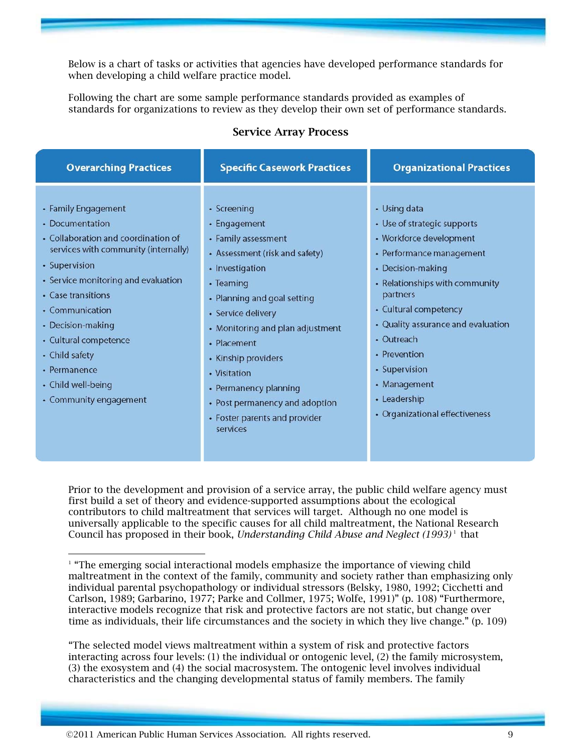Below is a chart of tasks or activities that agencies have developed performance standards for when developing a child welfare practice model.

Following the chart are some sample performance standards provided as examples of standards for organizations to review as they develop their own set of performance standards.

#### **Service Array Process**

| <b>Overarching Practices</b>                                                                                                                                                                                                                                                                                                                           | <b>Specific Casework Practices</b>                                                                                                                                                                                                                                                                                                                                          | <b>Organizational Practices</b>                                                                                                                                                                                                                                                                                                                       |
|--------------------------------------------------------------------------------------------------------------------------------------------------------------------------------------------------------------------------------------------------------------------------------------------------------------------------------------------------------|-----------------------------------------------------------------------------------------------------------------------------------------------------------------------------------------------------------------------------------------------------------------------------------------------------------------------------------------------------------------------------|-------------------------------------------------------------------------------------------------------------------------------------------------------------------------------------------------------------------------------------------------------------------------------------------------------------------------------------------------------|
| • Family Engagement<br>• Documentation<br>• Collaboration and coordination of<br>services with community (internally)<br>• Supervision<br>• Service monitoring and evaluation<br>• Case transitions<br>• Communication<br>• Decision-making<br>• Cultural competence<br>• Child safety<br>• Permanence<br>• Child well-being<br>• Community engagement | • Screening<br>• Engagement<br>• Family assessment<br>• Assessment (risk and safety)<br>• Investigation<br>• Teaming<br>• Planning and goal setting<br>• Service delivery<br>• Monitoring and plan adjustment<br>• Placement<br>• Kinship providers<br>• Visitation<br>• Permanency planning<br>• Post permanency and adoption<br>• Foster parents and provider<br>services | • Using data<br>• Use of strategic supports<br>• Workforce development<br>• Performance management<br>• Decision-making<br>• Relationships with community<br>partners<br>• Cultural competency<br>• Quality assurance and evaluation<br>• Outreach<br>• Prevention<br>• Supervision<br>• Management<br>• Leadership<br>• Organizational effectiveness |
|                                                                                                                                                                                                                                                                                                                                                        |                                                                                                                                                                                                                                                                                                                                                                             |                                                                                                                                                                                                                                                                                                                                                       |

Prior to the development and provision of a service array, the public child welfare agency must first build a set of theory and evidence-supported assumptions about the ecological contributors to child maltreatment that services will target. Although no one model is universally applicable to the specific causes for all child maltreatment, the National Research Council has proposed in their book, *Understanding Child Abuse and Neglect (1993)*<sup>1</sup> that

 $\overline{a}$ 

<sup>&</sup>lt;sup>1</sup> "The emerging social interactional models emphasize the importance of viewing child maltreatment in the context of the family, community and society rather than emphasizing only individual parental psychopathology or individual stressors (Belsky, 1980, 1992; Cicchetti and Carlson, 1989; Garbarino, 1977; Parke and Collmer, 1975; Wolfe, 1991)" (p. 108) "Furthermore, interactive models recognize that risk and protective factors are not static, but change over time as individuals, their life circumstances and the society in which they live change." (p. 109)

<sup>&</sup>quot;The selected model views maltreatment within a system of risk and protective factors interacting across four levels: (1) the individual or ontogenic level, (2) the family microsystem, (3) the exosystem and (4) the social macrosystem. The ontogenic level involves individual characteristics and the changing developmental status of family members. The family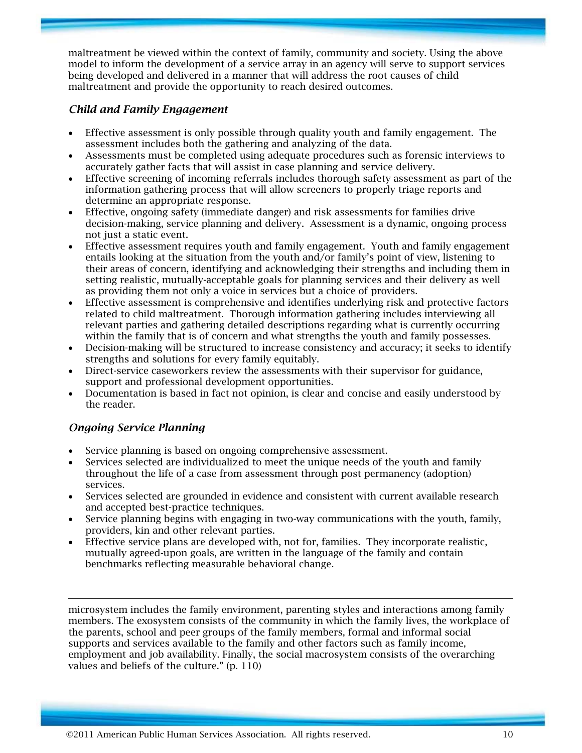maltreatment be viewed within the context of family, community and society. Using the above model to inform the development of a service array in an agency will serve to support services being developed and delivered in a manner that will address the root causes of child maltreatment and provide the opportunity to reach desired outcomes.

## *Child and Family Engagement*

- Effective assessment is only possible through quality youth and family engagement. The assessment includes both the gathering and analyzing of the data.
- Assessments must be completed using adequate procedures such as forensic interviews to accurately gather facts that will assist in case planning and service delivery.
- Effective screening of incoming referrals includes thorough safety assessment as part of the information gathering process that will allow screeners to properly triage reports and determine an appropriate response.
- Effective, ongoing safety (immediate danger) and risk assessments for families drive decision-making, service planning and delivery. Assessment is a dynamic, ongoing process not just a static event.
- Effective assessment requires youth and family engagement. Youth and family engagement entails looking at the situation from the youth and/or family's point of view, listening to their areas of concern, identifying and acknowledging their strengths and including them in setting realistic, mutually-acceptable goals for planning services and their delivery as well as providing them not only a voice in services but a choice of providers.
- Effective assessment is comprehensive and identifies underlying risk and protective factors related to child maltreatment. Thorough information gathering includes interviewing all relevant parties and gathering detailed descriptions regarding what is currently occurring within the family that is of concern and what strengths the youth and family possesses.
- Decision-making will be structured to increase consistency and accuracy; it seeks to identify strengths and solutions for every family equitably.
- Direct-service caseworkers review the assessments with their supervisor for guidance, support and professional development opportunities.
- Documentation is based in fact not opinion, is clear and concise and easily understood by the reader.

### *Ongoing Service Planning*

 $\overline{a}$ 

- Service planning is based on ongoing comprehensive assessment.
- Services selected are individualized to meet the unique needs of the youth and family throughout the life of a case from assessment through post permanency (adoption) services.
- Services selected are grounded in evidence and consistent with current available research and accepted best-practice techniques.
- Service planning begins with engaging in two-way communications with the youth, family, providers, kin and other relevant parties.
- Effective service plans are developed with, not for, families. They incorporate realistic, mutually agreed-upon goals, are written in the language of the family and contain benchmarks reflecting measurable behavioral change.

microsystem includes the family environment, parenting styles and interactions among family members. The exosystem consists of the community in which the family lives, the workplace of the parents, school and peer groups of the family members, formal and informal social supports and services available to the family and other factors such as family income, employment and job availability. Finally, the social macrosystem consists of the overarching values and beliefs of the culture." (p. 110)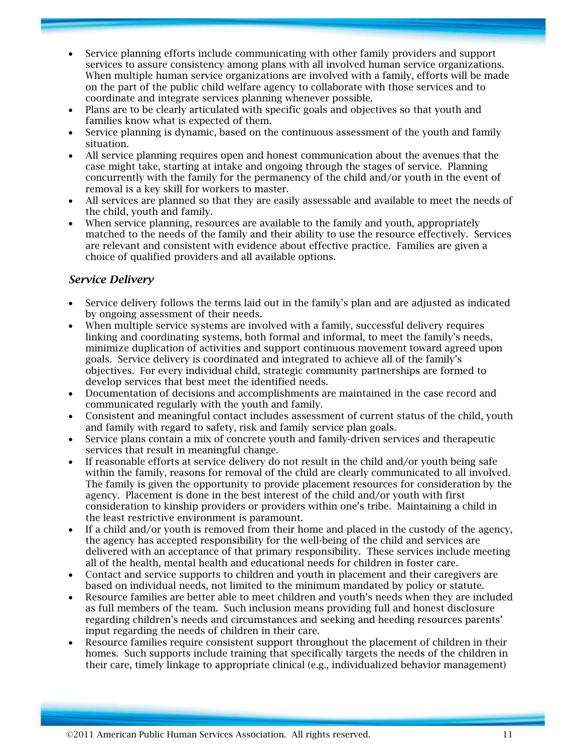- Service planning efforts include communicating with other family providers and support services to assure consistency among plans with all involved human service organizations. When multiple human service organizations are involved with a family, efforts will be made on the part of the public child welfare agency to collaborate with those services and to coordinate and integrate services planning whenever possible.
- Plans are to be clearly articulated with specific goals and objectives so that youth and families know what is expected of them.
- Service planning is dynamic, based on the continuous assessment of the youth and family situation.
- All service planning requires open and honest communication about the avenues that the case might take, starting at intake and ongoing through the stages of service. Planning concurrently with the family for the permanency of the child and/or youth in the event of removal is a key skill for workers to master.
- All services are planned so that they are easily assessable and available to meet the needs of the child, youth and family.
- When service planning, resources are available to the family and youth, appropriately matched to the needs of the family and their ability to use the resource effectively. Services are relevant and consistent with evidence about effective practice. Families are given a choice of qualified providers and all available options.

## *Service Delivery*

- Service delivery follows the terms laid out in the family's plan and are adjusted as indicated by ongoing assessment of their needs.
- When multiple service systems are involved with a family, successful delivery requires linking and coordinating systems, both formal and informal, to meet the family's needs, minimize duplication of activities and support continuous movement toward agreed upon goals. Service delivery is coordinated and integrated to achieve all of the family's objectives. For every individual child, strategic community partnerships are formed to develop services that best meet the identified needs.
- Documentation of decisions and accomplishments are maintained in the case record and communicated regularly with the youth and family.
- Consistent and meaningful contact includes assessment of current status of the child, youth and family with regard to safety, risk and family service plan goals.
- Service plans contain a mix of concrete youth and family-driven services and therapeutic services that result in meaningful change.
- If reasonable efforts at service delivery do not result in the child and/or youth being safe within the family, reasons for removal of the child are clearly communicated to all involved. The family is given the opportunity to provide placement resources for consideration by the agency. Placement is done in the best interest of the child and/or youth with first consideration to kinship providers or providers within one's tribe. Maintaining a child in the least restrictive environment is paramount.
- If a child and/or youth is removed from their home and placed in the custody of the agency, the agency has accepted responsibility for the well-being of the child and services are delivered with an acceptance of that primary responsibility. These services include meeting all of the health, mental health and educational needs for children in foster care.
- Contact and service supports to children and youth in placement and their caregivers are based on individual needs, not limited to the minimum mandated by policy or statute.
- Resource families are better able to meet children and youth's needs when they are included as full members of the team. Such inclusion means providing full and honest disclosure regarding children's needs and circumstances and seeking and heeding resources parents' input regarding the needs of children in their care.
- Resource families require consistent support throughout the placement of children in their homes. Such supports include training that specifically targets the needs of the children in their care, timely linkage to appropriate clinical (e.g., individualized behavior management)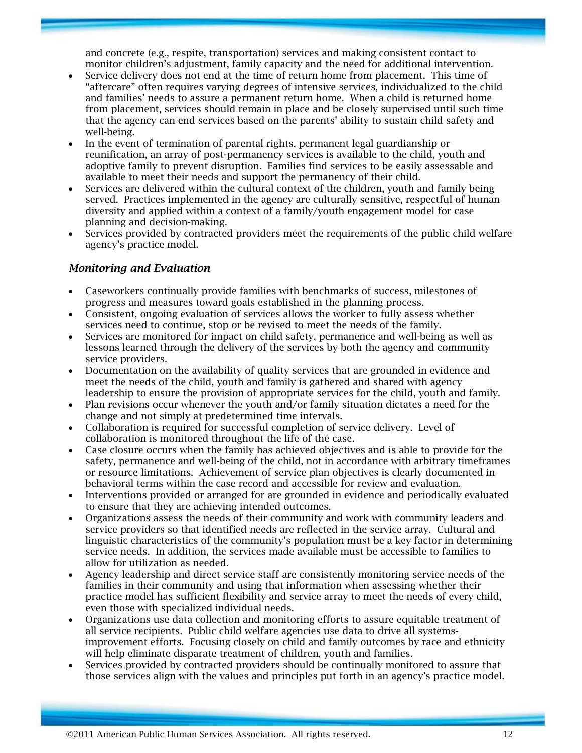and concrete (e.g., respite, transportation) services and making consistent contact to monitor children's adjustment, family capacity and the need for additional intervention.

- Service delivery does not end at the time of return home from placement. This time of "aftercare" often requires varying degrees of intensive services, individualized to the child and families' needs to assure a permanent return home. When a child is returned home from placement, services should remain in place and be closely supervised until such time that the agency can end services based on the parents' ability to sustain child safety and well-being.
- In the event of termination of parental rights, permanent legal guardianship or reunification, an array of post-permanency services is available to the child, youth and adoptive family to prevent disruption. Families find services to be easily assessable and available to meet their needs and support the permanency of their child.
- Services are delivered within the cultural context of the children, youth and family being served. Practices implemented in the agency are culturally sensitive, respectful of human diversity and applied within a context of a family/youth engagement model for case planning and decision-making.
- Services provided by contracted providers meet the requirements of the public child welfare agency's practice model.

### *Monitoring and Evaluation*

- Caseworkers continually provide families with benchmarks of success, milestones of progress and measures toward goals established in the planning process.
- Consistent, ongoing evaluation of services allows the worker to fully assess whether services need to continue, stop or be revised to meet the needs of the family.
- Services are monitored for impact on child safety, permanence and well-being as well as lessons learned through the delivery of the services by both the agency and community service providers.
- Documentation on the availability of quality services that are grounded in evidence and meet the needs of the child, youth and family is gathered and shared with agency leadership to ensure the provision of appropriate services for the child, youth and family.
- Plan revisions occur whenever the youth and/or family situation dictates a need for the change and not simply at predetermined time intervals.
- Collaboration is required for successful completion of service delivery. Level of collaboration is monitored throughout the life of the case.
- Case closure occurs when the family has achieved objectives and is able to provide for the safety, permanence and well-being of the child, not in accordance with arbitrary timeframes or resource limitations. Achievement of service plan objectives is clearly documented in behavioral terms within the case record and accessible for review and evaluation.
- Interventions provided or arranged for are grounded in evidence and periodically evaluated to ensure that they are achieving intended outcomes.
- Organizations assess the needs of their community and work with community leaders and service providers so that identified needs are reflected in the service array. Cultural and linguistic characteristics of the community's population must be a key factor in determining service needs. In addition, the services made available must be accessible to families to allow for utilization as needed.
- Agency leadership and direct service staff are consistently monitoring service needs of the families in their community and using that information when assessing whether their practice model has sufficient flexibility and service array to meet the needs of every child, even those with specialized individual needs.
- Organizations use data collection and monitoring efforts to assure equitable treatment of all service recipients. Public child welfare agencies use data to drive all systemsimprovement efforts. Focusing closely on child and family outcomes by race and ethnicity will help eliminate disparate treatment of children, youth and families.
- Services provided by contracted providers should be continually monitored to assure that those services align with the values and principles put forth in an agency's practice model.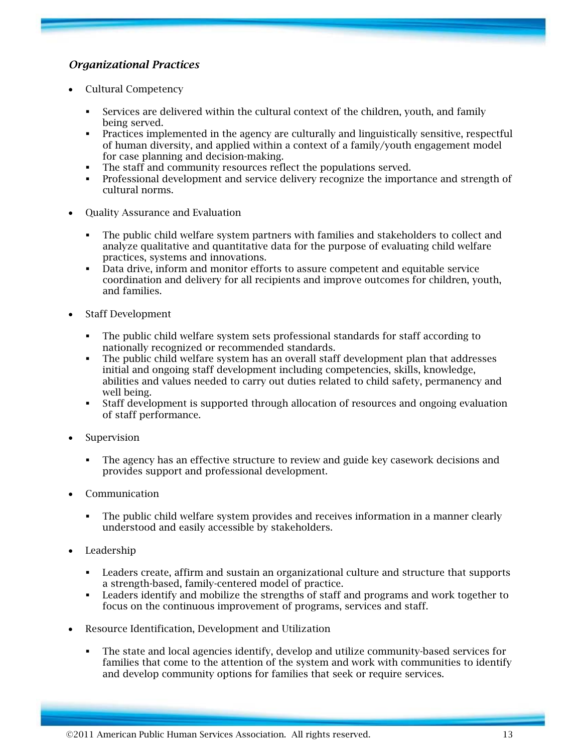## *Organizational Practices*

- Cultural Competency
	- Services are delivered within the cultural context of the children, youth, and family being served.
	- Practices implemented in the agency are culturally and linguistically sensitive, respectful of human diversity, and applied within a context of a family/youth engagement model for case planning and decision-making.
	- The staff and community resources reflect the populations served.
	- Professional development and service delivery recognize the importance and strength of cultural norms.
- Quality Assurance and Evaluation
	- The public child welfare system partners with families and stakeholders to collect and analyze qualitative and quantitative data for the purpose of evaluating child welfare practices, systems and innovations.
	- Data drive, inform and monitor efforts to assure competent and equitable service coordination and delivery for all recipients and improve outcomes for children, youth, and families.
- Staff Development
	- The public child welfare system sets professional standards for staff according to nationally recognized or recommended standards.
	- The public child welfare system has an overall staff development plan that addresses initial and ongoing staff development including competencies, skills, knowledge, abilities and values needed to carry out duties related to child safety, permanency and well being.
	- Staff development is supported through allocation of resources and ongoing evaluation of staff performance.
- **Supervision** 
	- The agency has an effective structure to review and guide key casework decisions and provides support and professional development.
- Communication
	- The public child welfare system provides and receives information in a manner clearly understood and easily accessible by stakeholders.
- Leadership
	- Leaders create, affirm and sustain an organizational culture and structure that supports a strength-based, family-centered model of practice.
	- Leaders identify and mobilize the strengths of staff and programs and work together to focus on the continuous improvement of programs, services and staff.
- Resource Identification, Development and Utilization
	- The state and local agencies identify, develop and utilize community-based services for families that come to the attention of the system and work with communities to identify and develop community options for families that seek or require services.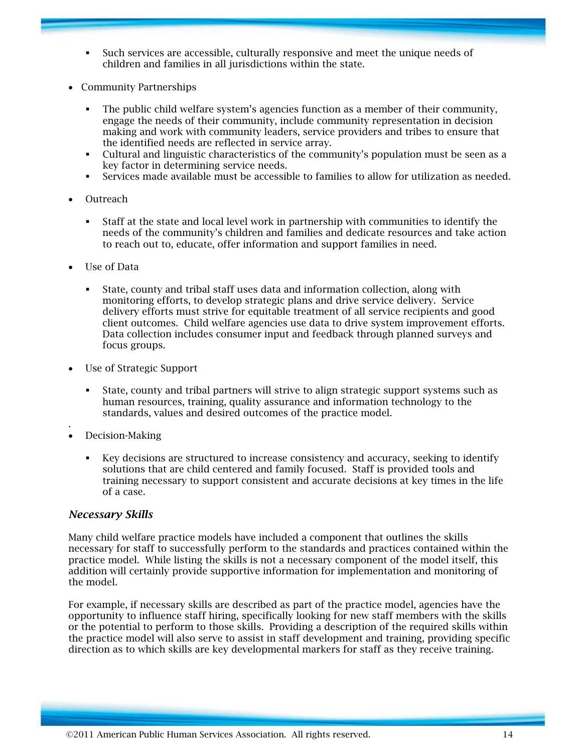- Such services are accessible, culturally responsive and meet the unique needs of children and families in all jurisdictions within the state.
- Community Partnerships
	- The public child welfare system's agencies function as a member of their community, engage the needs of their community, include community representation in decision making and work with community leaders, service providers and tribes to ensure that the identified needs are reflected in service array.
	- Cultural and linguistic characteristics of the community's population must be seen as a key factor in determining service needs.
	- Services made available must be accessible to families to allow for utilization as needed.
- Outreach
	- Staff at the state and local level work in partnership with communities to identify the needs of the community's children and families and dedicate resources and take action to reach out to, educate, offer information and support families in need.
- Use of Data
	- State, county and tribal staff uses data and information collection, along with monitoring efforts, to develop strategic plans and drive service delivery. Service delivery efforts must strive for equitable treatment of all service recipients and good client outcomes. Child welfare agencies use data to drive system improvement efforts. Data collection includes consumer input and feedback through planned surveys and focus groups.
- Use of Strategic Support
	- State, county and tribal partners will strive to align strategic support systems such as human resources, training, quality assurance and information technology to the standards, values and desired outcomes of the practice model.
- . • Decision-Making
	- Key decisions are structured to increase consistency and accuracy, seeking to identify solutions that are child centered and family focused. Staff is provided tools and training necessary to support consistent and accurate decisions at key times in the life of a case.

#### *Necessary Skills*

Many child welfare practice models have included a component that outlines the skills necessary for staff to successfully perform to the standards and practices contained within the practice model. While listing the skills is not a necessary component of the model itself, this addition will certainly provide supportive information for implementation and monitoring of the model.

For example, if necessary skills are described as part of the practice model, agencies have the opportunity to influence staff hiring, specifically looking for new staff members with the skills or the potential to perform to those skills. Providing a description of the required skills within the practice model will also serve to assist in staff development and training, providing specific direction as to which skills are key developmental markers for staff as they receive training.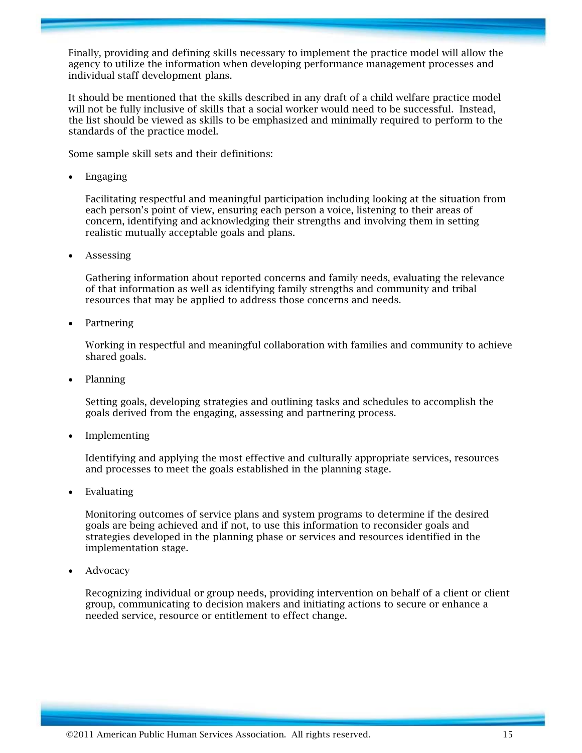Finally, providing and defining skills necessary to implement the practice model will allow the agency to utilize the information when developing performance management processes and individual staff development plans.

It should be mentioned that the skills described in any draft of a child welfare practice model will not be fully inclusive of skills that a social worker would need to be successful. Instead, the list should be viewed as skills to be emphasized and minimally required to perform to the standards of the practice model.

Some sample skill sets and their definitions:

• Engaging

Facilitating respectful and meaningful participation including looking at the situation from each person's point of view, ensuring each person a voice, listening to their areas of concern, identifying and acknowledging their strengths and involving them in setting realistic mutually acceptable goals and plans.

• Assessing

Gathering information about reported concerns and family needs, evaluating the relevance of that information as well as identifying family strengths and community and tribal resources that may be applied to address those concerns and needs.

• Partnering

Working in respectful and meaningful collaboration with families and community to achieve shared goals.

• Planning

Setting goals, developing strategies and outlining tasks and schedules to accomplish the goals derived from the engaging, assessing and partnering process.

• Implementing

Identifying and applying the most effective and culturally appropriate services, resources and processes to meet the goals established in the planning stage.

**Evaluating** 

Monitoring outcomes of service plans and system programs to determine if the desired goals are being achieved and if not, to use this information to reconsider goals and strategies developed in the planning phase or services and resources identified in the implementation stage.

**Advocacy** 

Recognizing individual or group needs, providing intervention on behalf of a client or client group, communicating to decision makers and initiating actions to secure or enhance a needed service, resource or entitlement to effect change.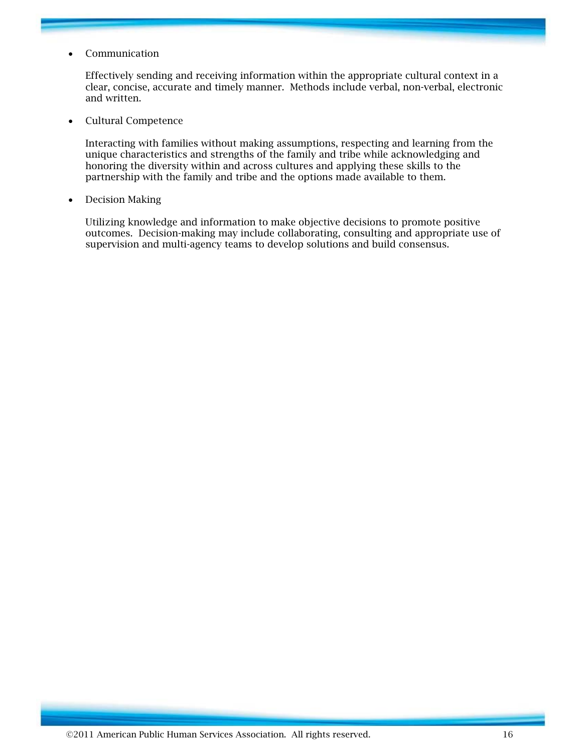• Communication

Effectively sending and receiving information within the appropriate cultural context in a clear, concise, accurate and timely manner. Methods include verbal, non-verbal, electronic and written.

• Cultural Competence

Interacting with families without making assumptions, respecting and learning from the unique characteristics and strengths of the family and tribe while acknowledging and honoring the diversity within and across cultures and applying these skills to the partnership with the family and tribe and the options made available to them.

• Decision Making

Utilizing knowledge and information to make objective decisions to promote positive outcomes. Decision-making may include collaborating, consulting and appropriate use of supervision and multi-agency teams to develop solutions and build consensus.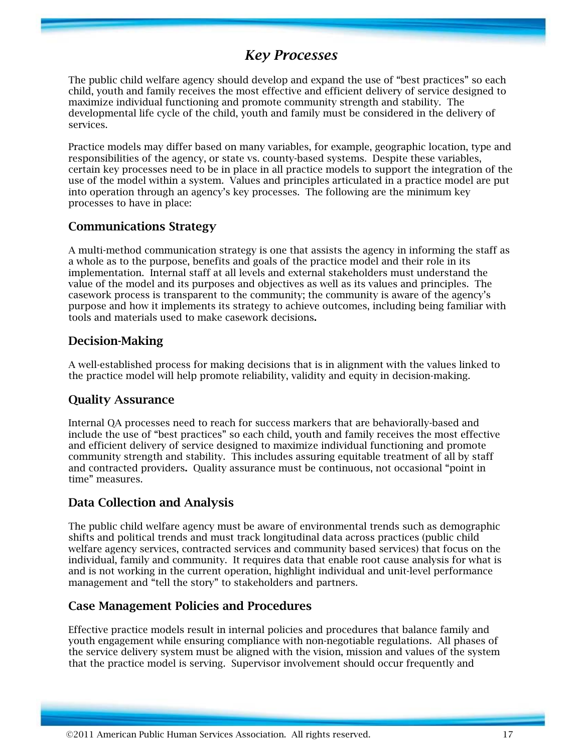## *Key Processes*

The public child welfare agency should develop and expand the use of "best practices" so each child, youth and family receives the most effective and efficient delivery of service designed to maximize individual functioning and promote community strength and stability. The developmental life cycle of the child, youth and family must be considered in the delivery of services.

Practice models may differ based on many variables, for example, geographic location, type and responsibilities of the agency, or state vs. county-based systems. Despite these variables, certain key processes need to be in place in all practice models to support the integration of the use of the model within a system. Values and principles articulated in a practice model are put into operation through an agency's key processes. The following are the minimum key processes to have in place:

## **Communications Strategy**

A multi-method communication strategy is one that assists the agency in informing the staff as a whole as to the purpose, benefits and goals of the practice model and their role in its implementation. Internal staff at all levels and external stakeholders must understand the value of the model and its purposes and objectives as well as its values and principles. The casework process is transparent to the community; the community is aware of the agency's purpose and how it implements its strategy to achieve outcomes, including being familiar with tools and materials used to make casework decisions**.** 

## **Decision-Making**

A well-established process for making decisions that is in alignment with the values linked to the practice model will help promote reliability, validity and equity in decision-making.

## **Quality Assurance**

Internal QA processes need to reach for success markers that are behaviorally-based and include the use of "best practices" so each child, youth and family receives the most effective and efficient delivery of service designed to maximize individual functioning and promote community strength and stability. This includes assuring equitable treatment of all by staff and contracted providers**.** Quality assurance must be continuous, not occasional "point in time" measures.

## **Data Collection and Analysis**

The public child welfare agency must be aware of environmental trends such as demographic shifts and political trends and must track longitudinal data across practices (public child welfare agency services, contracted services and community based services) that focus on the individual, family and community. It requires data that enable root cause analysis for what is and is not working in the current operation, highlight individual and unit-level performance management and "tell the story" to stakeholders and partners.

## **Case Management Policies and Procedures**

Effective practice models result in internal policies and procedures that balance family and youth engagement while ensuring compliance with non-negotiable regulations. All phases of the service delivery system must be aligned with the vision, mission and values of the system that the practice model is serving. Supervisor involvement should occur frequently and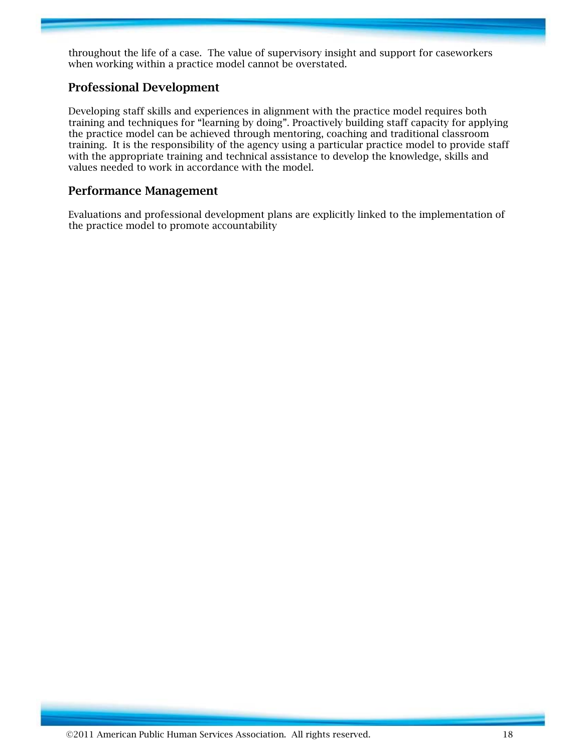throughout the life of a case. The value of supervisory insight and support for caseworkers when working within a practice model cannot be overstated.

## **Professional Development**

Developing staff skills and experiences in alignment with the practice model requires both training and techniques for "learning by doing". Proactively building staff capacity for applying the practice model can be achieved through mentoring, coaching and traditional classroom training. It is the responsibility of the agency using a particular practice model to provide staff with the appropriate training and technical assistance to develop the knowledge, skills and values needed to work in accordance with the model.

#### **Performance Management**

Evaluations and professional development plans are explicitly linked to the implementation of the practice model to promote accountability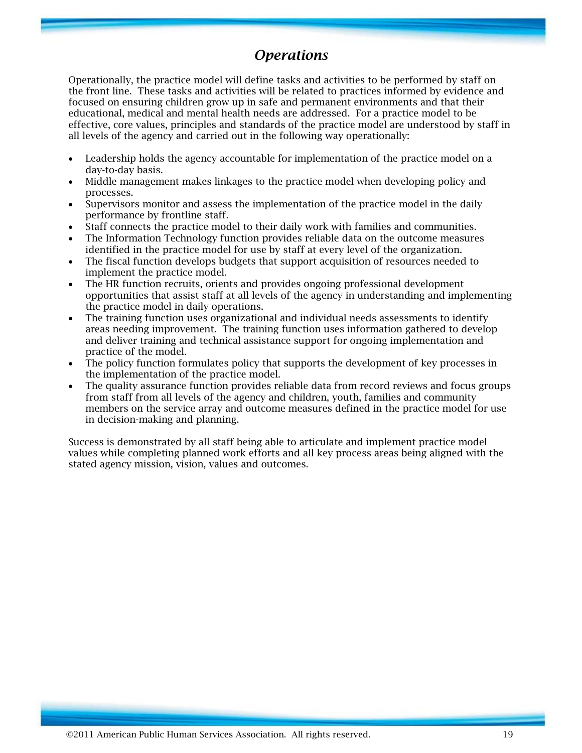## *Operations*

Operationally, the practice model will define tasks and activities to be performed by staff on the front line. These tasks and activities will be related to practices informed by evidence and focused on ensuring children grow up in safe and permanent environments and that their educational, medical and mental health needs are addressed. For a practice model to be effective, core values, principles and standards of the practice model are understood by staff in all levels of the agency and carried out in the following way operationally:

- Leadership holds the agency accountable for implementation of the practice model on a day-to-day basis.
- Middle management makes linkages to the practice model when developing policy and processes.
- Supervisors monitor and assess the implementation of the practice model in the daily performance by frontline staff.
- Staff connects the practice model to their daily work with families and communities.
- The Information Technology function provides reliable data on the outcome measures identified in the practice model for use by staff at every level of the organization.
- The fiscal function develops budgets that support acquisition of resources needed to implement the practice model.
- The HR function recruits, orients and provides ongoing professional development opportunities that assist staff at all levels of the agency in understanding and implementing the practice model in daily operations.
- The training function uses organizational and individual needs assessments to identify areas needing improvement. The training function uses information gathered to develop and deliver training and technical assistance support for ongoing implementation and practice of the model.
- The policy function formulates policy that supports the development of key processes in the implementation of the practice model.
- The quality assurance function provides reliable data from record reviews and focus groups from staff from all levels of the agency and children, youth, families and community members on the service array and outcome measures defined in the practice model for use in decision-making and planning.

Success is demonstrated by all staff being able to articulate and implement practice model values while completing planned work efforts and all key process areas being aligned with the stated agency mission, vision, values and outcomes.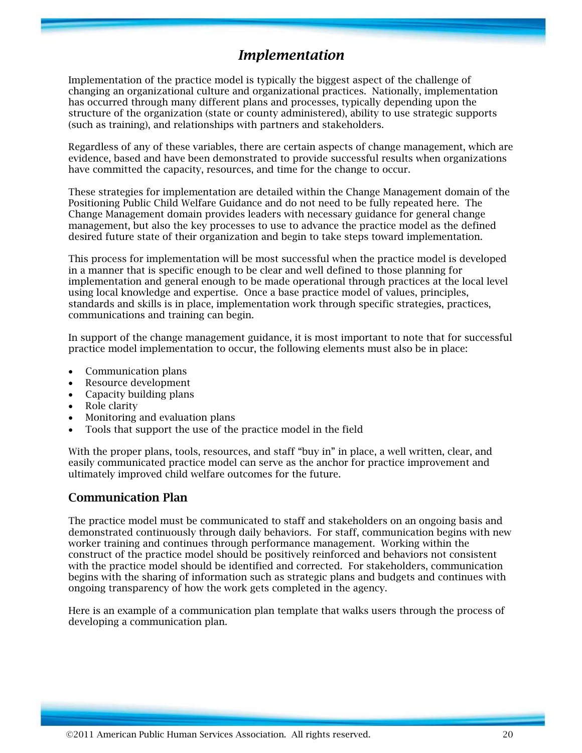## *Implementation*

Implementation of the practice model is typically the biggest aspect of the challenge of changing an organizational culture and organizational practices. Nationally, implementation has occurred through many different plans and processes, typically depending upon the structure of the organization (state or county administered), ability to use strategic supports (such as training), and relationships with partners and stakeholders.

Regardless of any of these variables, there are certain aspects of change management, which are evidence, based and have been demonstrated to provide successful results when organizations have committed the capacity, resources, and time for the change to occur.

These strategies for implementation are detailed within the Change Management domain of the Positioning Public Child Welfare Guidance and do not need to be fully repeated here. The Change Management domain provides leaders with necessary guidance for general change management, but also the key processes to use to advance the practice model as the defined desired future state of their organization and begin to take steps toward implementation.

This process for implementation will be most successful when the practice model is developed in a manner that is specific enough to be clear and well defined to those planning for implementation and general enough to be made operational through practices at the local level using local knowledge and expertise. Once a base practice model of values, principles, standards and skills is in place, implementation work through specific strategies, practices, communications and training can begin.

In support of the change management guidance, it is most important to note that for successful practice model implementation to occur, the following elements must also be in place:

- Communication plans
- Resource development
- Capacity building plans
- Role clarity
- Monitoring and evaluation plans
- Tools that support the use of the practice model in the field

With the proper plans, tools, resources, and staff "buy in" in place, a well written, clear, and easily communicated practice model can serve as the anchor for practice improvement and ultimately improved child welfare outcomes for the future.

### **Communication Plan**

The practice model must be communicated to staff and stakeholders on an ongoing basis and demonstrated continuously through daily behaviors. For staff, communication begins with new worker training and continues through performance management. Working within the construct of the practice model should be positively reinforced and behaviors not consistent with the practice model should be identified and corrected. For stakeholders, communication begins with the sharing of information such as strategic plans and budgets and continues with ongoing transparency of how the work gets completed in the agency.

Here is an example of a communication plan template that walks users through the process of developing a communication plan.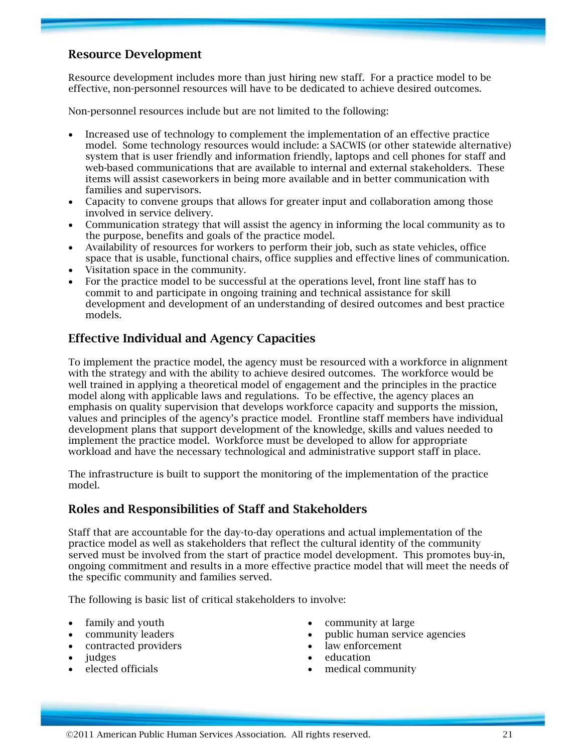## **Resource Development**

Resource development includes more than just hiring new staff. For a practice model to be effective, non-personnel resources will have to be dedicated to achieve desired outcomes.

Non-personnel resources include but are not limited to the following:

- Increased use of technology to complement the implementation of an effective practice model. Some technology resources would include: a SACWIS (or other statewide alternative) system that is user friendly and information friendly, laptops and cell phones for staff and web-based communications that are available to internal and external stakeholders. These items will assist caseworkers in being more available and in better communication with families and supervisors.
- Capacity to convene groups that allows for greater input and collaboration among those involved in service delivery.
- Communication strategy that will assist the agency in informing the local community as to the purpose, benefits and goals of the practice model.
- Availability of resources for workers to perform their job, such as state vehicles, office space that is usable, functional chairs, office supplies and effective lines of communication.
- Visitation space in the community.
- For the practice model to be successful at the operations level, front line staff has to commit to and participate in ongoing training and technical assistance for skill development and development of an understanding of desired outcomes and best practice models.

## **Effective Individual and Agency Capacities**

To implement the practice model, the agency must be resourced with a workforce in alignment with the strategy and with the ability to achieve desired outcomes. The workforce would be well trained in applying a theoretical model of engagement and the principles in the practice model along with applicable laws and regulations. To be effective, the agency places an emphasis on quality supervision that develops workforce capacity and supports the mission, values and principles of the agency's practice model. Frontline staff members have individual development plans that support development of the knowledge, skills and values needed to implement the practice model. Workforce must be developed to allow for appropriate workload and have the necessary technological and administrative support staff in place.

The infrastructure is built to support the monitoring of the implementation of the practice model.

### **Roles and Responsibilities of Staff and Stakeholders**

Staff that are accountable for the day-to-day operations and actual implementation of the practice model as well as stakeholders that reflect the cultural identity of the community served must be involved from the start of practice model development. This promotes buy-in, ongoing commitment and results in a more effective practice model that will meet the needs of the specific community and families served.

The following is basic list of critical stakeholders to involve:

- family and youth
- community leaders
- contracted providers
- judges
- elected officials
- community at large
- public human service agencies
- law enforcement
- education
- medical community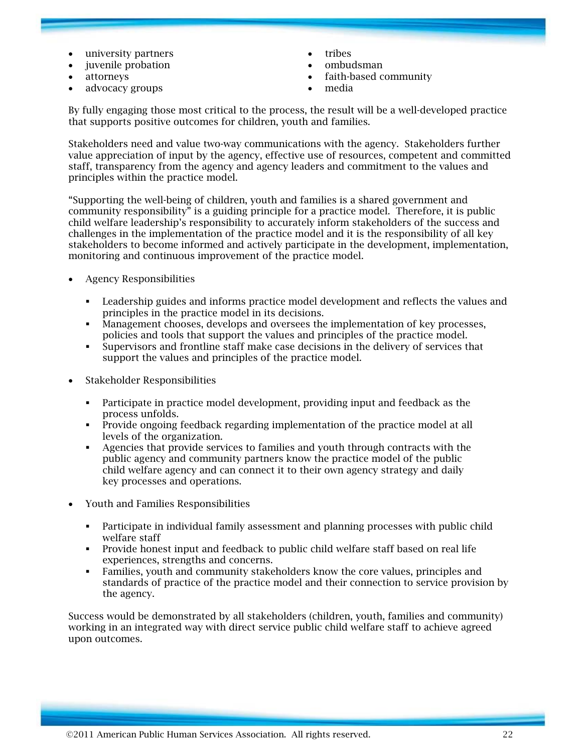- university partners
- iuvenile probation
- attorneys
- advocacy groups
- **tribes**
- ombudsman
- faith-based community
- media

By fully engaging those most critical to the process, the result will be a well-developed practice that supports positive outcomes for children, youth and families.

Stakeholders need and value two-way communications with the agency. Stakeholders further value appreciation of input by the agency, effective use of resources, competent and committed staff, transparency from the agency and agency leaders and commitment to the values and principles within the practice model.

"Supporting the well-being of children, youth and families is a shared government and community responsibility" is a guiding principle for a practice model. Therefore, it is public child welfare leadership's responsibility to accurately inform stakeholders of the success and challenges in the implementation of the practice model and it is the responsibility of all key stakeholders to become informed and actively participate in the development, implementation, monitoring and continuous improvement of the practice model.

- Agency Responsibilities
	- Leadership guides and informs practice model development and reflects the values and principles in the practice model in its decisions.
	- Management chooses, develops and oversees the implementation of key processes, policies and tools that support the values and principles of the practice model.
	- Supervisors and frontline staff make case decisions in the delivery of services that support the values and principles of the practice model.
- Stakeholder Responsibilities
	- Participate in practice model development, providing input and feedback as the process unfolds.
	- Provide ongoing feedback regarding implementation of the practice model at all levels of the organization.
	- Agencies that provide services to families and youth through contracts with the public agency and community partners know the practice model of the public child welfare agency and can connect it to their own agency strategy and daily key processes and operations.
- Youth and Families Responsibilities
	- Participate in individual family assessment and planning processes with public child welfare staff
	- Provide honest input and feedback to public child welfare staff based on real life experiences, strengths and concerns.
	- Families, youth and community stakeholders know the core values, principles and standards of practice of the practice model and their connection to service provision by the agency.

Success would be demonstrated by all stakeholders (children, youth, families and community) working in an integrated way with direct service public child welfare staff to achieve agreed upon outcomes.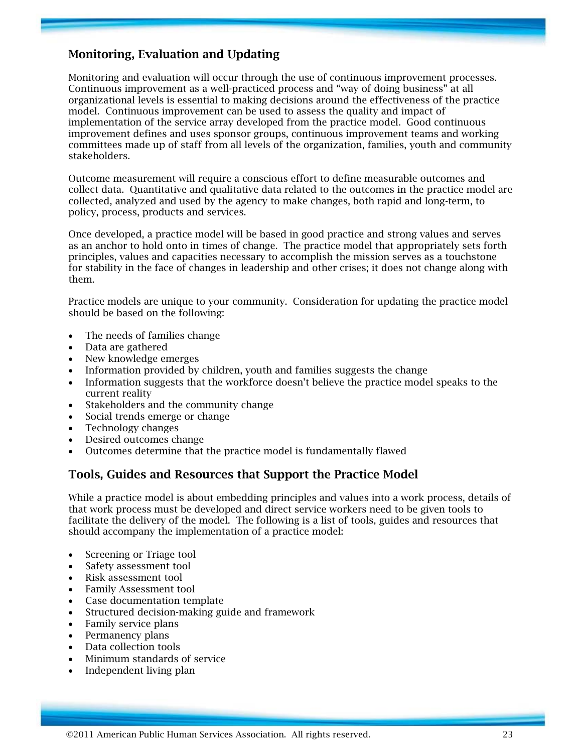## **Monitoring, Evaluation and Updating**

Monitoring and evaluation will occur through the use of continuous improvement processes. Continuous improvement as a well-practiced process and "way of doing business" at all organizational levels is essential to making decisions around the effectiveness of the practice model. Continuous improvement can be used to assess the quality and impact of implementation of the service array developed from the practice model. Good continuous improvement defines and uses sponsor groups, continuous improvement teams and working committees made up of staff from all levels of the organization, families, youth and community stakeholders.

Outcome measurement will require a conscious effort to define measurable outcomes and collect data. Quantitative and qualitative data related to the outcomes in the practice model are collected, analyzed and used by the agency to make changes, both rapid and long-term, to policy, process, products and services.

Once developed, a practice model will be based in good practice and strong values and serves as an anchor to hold onto in times of change. The practice model that appropriately sets forth principles, values and capacities necessary to accomplish the mission serves as a touchstone for stability in the face of changes in leadership and other crises; it does not change along with them.

Practice models are unique to your community. Consideration for updating the practice model should be based on the following:

- The needs of families change
- Data are gathered
- New knowledge emerges
- Information provided by children, youth and families suggests the change
- Information suggests that the workforce doesn't believe the practice model speaks to the current reality
- Stakeholders and the community change
- Social trends emerge or change
- Technology changes
- Desired outcomes change
- Outcomes determine that the practice model is fundamentally flawed

## **Tools, Guides and Resources that Support the Practice Model**

While a practice model is about embedding principles and values into a work process, details of that work process must be developed and direct service workers need to be given tools to facilitate the delivery of the model. The following is a list of tools, guides and resources that should accompany the implementation of a practice model:

- Screening or Triage tool
- Safety assessment tool
- Risk assessment tool
- Family Assessment tool
- Case documentation template
- Structured decision-making guide and framework
- Family service plans
- Permanency plans
- Data collection tools
- Minimum standards of service
- Independent living plan